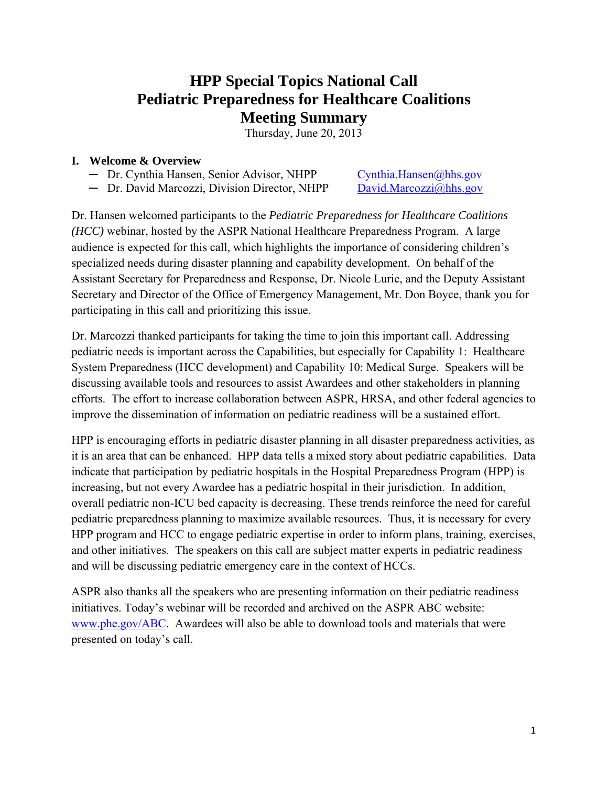# **HPP Special Topics National Call Pediatric Preparedness for Healthcare Coalitions Meeting Summary**

Thursday, June 20, 2013

#### **I. Welcome & Overview**

- $-$  Dr. Cynthia Hansen, Senior Advisor, NHPP
- 

Cynthia.Hansen@hhs.gov David.Marcozzi@hhs.gov

— Dr. David Marcozzi, Division Director, NHPP David.Marcozzi@hhs.gov<br>Dr. Hansen welcomed participants to the *Pediatric Preparedness for Healthcare Coalitions (HCC)* webinar, hosted by the ASPR National Healthcare Preparedness Program. A large audience is expected for this call, which highlights the importance of considering children's specialized needs during disaster planning and capability development. On behalf of the Assistant Secretary for Preparedness and Response, Dr. Nicole Lurie, and the Deputy Assistant Secretary and Director of the Office of Emergency Management, Mr. Don Boyce, thank you for participating in this call and prioritizing this issue.

Dr. Marcozzi thanked participants for taking the time to join this important call. Addressing pediatric needs is important across the Capabilities, but especially for Capability 1: Healthcare System Preparedness (HCC development) and Capability 10: Medical Surge. Speakers will be discussing available tools and resources to assist Awardees and other stakeholders in planning efforts. The effort to increase collaboration between ASPR, HRSA, and other federal agencies to improve the dissemination of information on pediatric readiness will be a sustained effort.

HPP is encouraging efforts in pediatric disaster planning in all disaster preparedness activities, as it is an area that can be enhanced. HPP data tells a mixed story about pediatric capabilities. Data indicate that participation by pediatric hospitals in the Hospital Preparedness Program (HPP) is increasing, but not every Awardee has a pediatric hospital in their jurisdiction. In addition, overall pediatric non-ICU bed capacity is decreasing. These trends reinforce the need for careful pediatric preparedness planning to maximize available resources. Thus, it is necessary for every HPP program and HCC to engage pediatric expertise in order to inform plans, training, exercises, and other initiatives. The speakers on this call are subject matter experts in pediatric readiness and will be discussing pediatric emergency care in the context of HCCs.

ASPR also thanks all the speakers who are presenting information on their pediatric readiness initiatives. Today's webinar will be recorded and archived on the ASPR ABC website: www.phe.gov/ABC. Awardees will also be able to download tools and materials that were presented on today's call.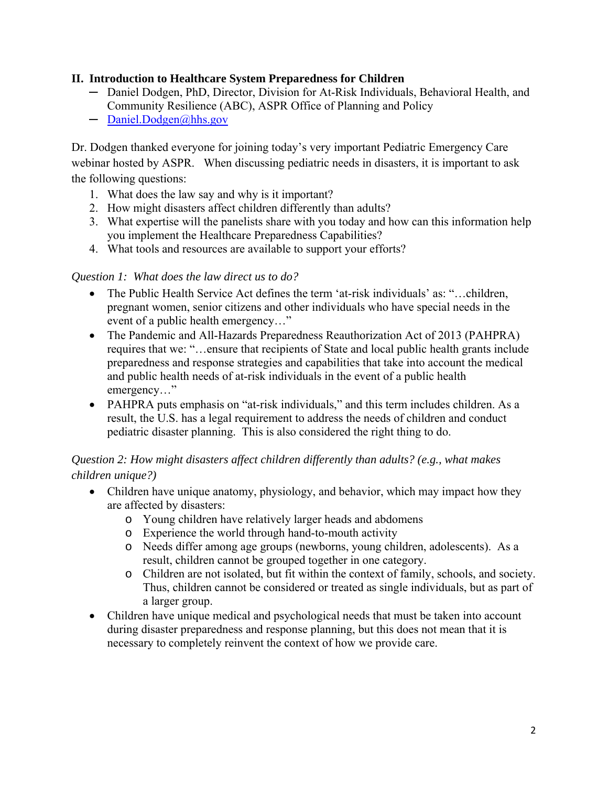#### **II. Introduction to Healthcare System Preparedness for Children**

- ─ Daniel Dodgen, PhD, Director, Division for At-Risk Individuals, Behavioral Health, and Community Resilience (ABC), ASPR Office of Planning and Policy
- $-$  Daniel.Dodgen@hhs.gov

Dr. Dodgen thanked everyone for joining today's very important Pediatric Emergency Care webinar hosted by ASPR. When discussing pediatric needs in disasters, it is important to ask the following questions:

- 1. What does the law say and why is it important?
- 2. How might disasters affect children differently than adults?
- 3. What expertise will the panelists share with you today and how can this information help you implement the Healthcare Preparedness Capabilities?
- 4. What tools and resources are available to support your efforts?

#### *Question 1: What does the law direct us to do?*

- The Public Health Service Act defines the term 'at-risk individuals' as: "…children, pregnant women, senior citizens and other individuals who have special needs in the event of a public health emergency…"
- The Pandemic and All-Hazards Preparedness Reauthorization Act of 2013 (PAHPRA) requires that we: "…ensure that recipients of State and local public health grants include preparedness and response strategies and capabilities that take into account the medical and public health needs of at-risk individuals in the event of a public health emergency…"
- PAHPRA puts emphasis on "at-risk individuals," and this term includes children. As a result, the U.S. has a legal requirement to address the needs of children and conduct pediatric disaster planning. This is also considered the right thing to do.

# *Question 2: How might disasters affect children differently than adults? (e.g., what makes children unique?)*

- Children have unique anatomy, physiology, and behavior, which may impact how they are affected by disasters:
	- o Young children have relatively larger heads and abdomens
	- o Experience the world through hand-to-mouth activity
	- o Needs differ among age groups (newborns, young children, adolescents). As a result, children cannot be grouped together in one category.
	- o Children are not isolated, but fit within the context of family, schools, and society. Thus, children cannot be considered or treated as single individuals, but as part of a larger group.
- Children have unique medical and psychological needs that must be taken into account during disaster preparedness and response planning, but this does not mean that it is necessary to completely reinvent the context of how we provide care.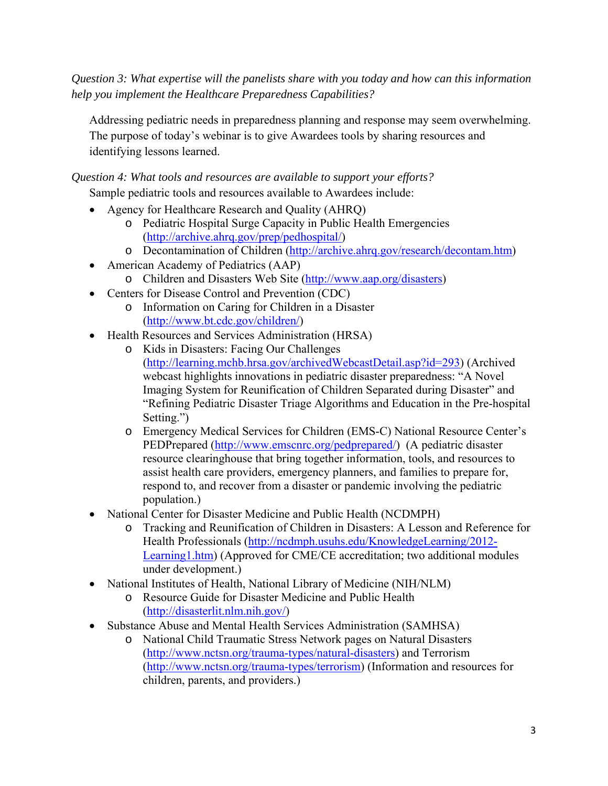*Question 3: What expertise will the panelists share with you today and how can this information help you implement the Healthcare Preparedness Capabilities?* 

Addressing pediatric needs in preparedness planning and response may seem overwhelming. The purpose of today's webinar is to give Awardees tools by sharing resources and identifying lessons learned.

*Question 4: What tools and resources are available to support your efforts?* 

Sample pediatric tools and resources available to Awardees include:

- Agency for Healthcare Research and Quality (AHRQ)
	- o Pediatric Hospital Surge Capacity in Public Health Emergencies (http://archive.ahrq.gov/prep/pedhospital/)
	- o Decontamination of Children (http://archive.ahrq.gov/research/decontam.htm)
- American Academy of Pediatrics (AAP)
	- o Children and Disasters Web Site (http://www.aap.org/disasters)
- Centers for Disease Control and Prevention (CDC)
	- o Information on Caring for Children in a Disaster (http://www.bt.cdc.gov/children/)
- Health Resources and Services Administration (HRSA)
	- o Kids in Disasters: Facing Our Challenges (http://learning.mchb.hrsa.gov/archivedWebcastDetail.asp?id=293) (Archived webcast highlights innovations in pediatric disaster preparedness: "A Novel Imaging System for Reunification of Children Separated during Disaster" and "Refining Pediatric Disaster Triage Algorithms and Education in the Pre-hospital Setting.")
	- o Emergency Medical Services for Children (EMS-C) National Resource Center's PEDPrepared (http://www.emscnrc.org/pedprepared/) (A pediatric disaster resource clearinghouse that bring together information, tools, and resources to assist health care providers, emergency planners, and families to prepare for, respond to, and recover from a disaster or pandemic involving the pediatric population.)
- National Center for Disaster Medicine and Public Health (NCDMPH)
	- o Tracking and Reunification of Children in Disasters: A Lesson and Reference for Health Professionals (http://ncdmph.usuhs.edu/KnowledgeLearning/2012 Learning1.htm) (Approved for CME/CE accreditation; two additional modules under development.)
- National Institutes of Health, National Library of Medicine (NIH/NLM)
	- o Resource Guide for Disaster Medicine and Public Health (http://disasterlit.nlm.nih.gov/)
- Substance Abuse and Mental Health Services Administration (SAMHSA)
	- o National Child Traumatic Stress Network pages on Natural Disasters (http://www.nctsn.org/trauma-types/natural-disasters) and Terrorism (http://www.nctsn.org/trauma-types/terrorism) (Information and resources for children, parents, and providers.)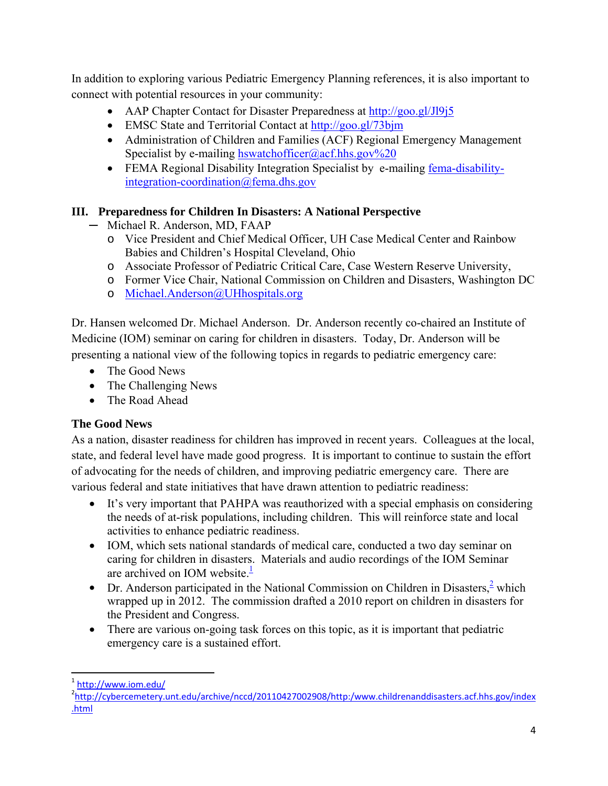In addition to exploring various Pediatric Emergency Planning references, it is also important to connect with potential resources in your community:

- AAP Chapter Contact for Disaster Preparedness at http://goo.gl/JJ9j5
- EMSC State and Territorial Contact at http://goo.gl/73bjm
- Administration of Children and Families (ACF) Regional Emergency Management Specialist by e-mailing hswatchofficer@acf.hhs.gov%20
- FEMA Regional Disability Integration Specialist by e-mailing fema-disabilityintegration-coordination@fema.dhs.gov

# **III. Preparedness for Children In Disasters: A National Perspective**

- ─ Michael R. Anderson, MD, FAAP
	- o Vice President and Chief Medical Officer, UH Case Medical Center and Rainbow Babies and Children's Hospital Cleveland, Ohio
	- o Associate Professor of Pediatric Critical Care, Case Western Reserve University,
	- o Former Vice Chair, National Commission on Children and Disasters, Washington DC
	- o Michael.Anderson@UHhospitals.org

Dr. Hansen welcomed Dr. Michael Anderson. Dr. Anderson recently co-chaired an Institute of Medicine (IOM) seminar on caring for children in disasters. Today, Dr. Anderson will be presenting a national view of the following topics in regards to pediatric emergency care:

- The Good News
- The Challenging News
- The Road Ahead

# **The Good News**

As a nation, disaster readiness for children has improved in recent years. Colleagues at the local, state, and federal level have made good progress. It is important to continue to sustain the effort of advocating for the needs of children, and improving pediatric emergency care. There are various federal and state initiatives that have drawn attention to pediatric readiness:

- It's very important that PAHPA was reauthorized with a special emphasis on considering the needs of at-risk populations, including children. This will reinforce state and local activities to enhance pediatric readiness.
- IOM, which sets national standards of medical care, conducted a two day seminar on caring for children in disasters. Materials and audio recordings of the IOM Seminar are archived on IOM website. $\frac{1}{2}$
- Dr. Anderson participated in the National Commission on Children in Disasters, $\frac{2}{3}$  which wrapped up in 2012. The commission drafted a 2010 report on children in disasters for the President and Congress.
- There are various on-going task forces on this topic, as it is important that pediatric emergency care is a sustained effort.

 $\frac{1}{2}$ <u>http://www.iom.edu/</u><br><sup>2</sup>http://orborcompton/

 .html <sup>2</sup>http://cybercemetery.unt.edu/archive/nccd/20110427002908/http:/www.childrenanddisasters.acf.hhs.gov/index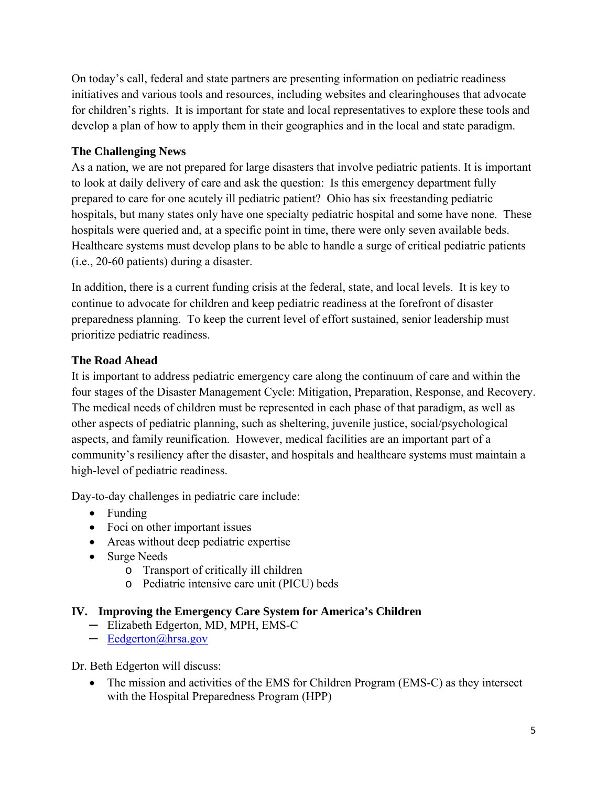On today's call, federal and state partners are presenting information on pediatric readiness initiatives and various tools and resources, including websites and clearinghouses that advocate for children's rights. It is important for state and local representatives to explore these tools and develop a plan of how to apply them in their geographies and in the local and state paradigm.

### **The Challenging News**

As a nation, we are not prepared for large disasters that involve pediatric patients. It is important to look at daily delivery of care and ask the question: Is this emergency department fully prepared to care for one acutely ill pediatric patient? Ohio has six freestanding pediatric hospitals, but many states only have one specialty pediatric hospital and some have none. These hospitals were queried and, at a specific point in time, there were only seven available beds. Healthcare systems must develop plans to be able to handle a surge of critical pediatric patients (i.e., 20-60 patients) during a disaster.

In addition, there is a current funding crisis at the federal, state, and local levels. It is key to continue to advocate for children and keep pediatric readiness at the forefront of disaster preparedness planning. To keep the current level of effort sustained, senior leadership must prioritize pediatric readiness.

#### **The Road Ahead**

It is important to address pediatric emergency care along the continuum of care and within the four stages of the Disaster Management Cycle: Mitigation, Preparation, Response, and Recovery. The medical needs of children must be represented in each phase of that paradigm, as well as other aspects of pediatric planning, such as sheltering, juvenile justice, social/psychological aspects, and family reunification. However, medical facilities are an important part of a community's resiliency after the disaster, and hospitals and healthcare systems must maintain a high-level of pediatric readiness.

Day-to-day challenges in pediatric care include:

- Funding
- Foci on other important issues
- Areas without deep pediatric expertise
- Surge Needs
	- o Transport of critically ill children
	- o Pediatric intensive care unit (PICU) beds

#### **IV. Improving the Emergency Care System for America's Children**

- ─ Elizabeth Edgerton, MD, MPH, EMS-C
- $-$  Eedgerton@hrsa.gov

Dr. Beth Edgerton will discuss:

• The mission and activities of the EMS for Children Program (EMS-C) as they intersect with the Hospital Preparedness Program (HPP)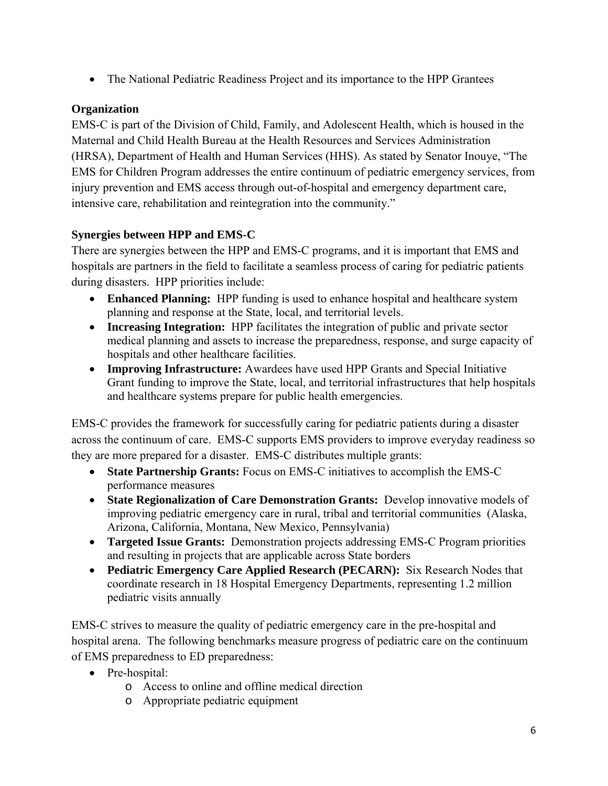• The National Pediatric Readiness Project and its importance to the HPP Grantees

# **Organization**

EMS-C is part of the Division of Child, Family, and Adolescent Health, which is housed in the Maternal and Child Health Bureau at the Health Resources and Services Administration (HRSA), Department of Health and Human Services (HHS). As stated by Senator Inouye, "The EMS for Children Program addresses the entire continuum of pediatric emergency services, from injury prevention and EMS access through out-of-hospital and emergency department care, intensive care, rehabilitation and reintegration into the community."

# **Synergies between HPP and EMS-C**

There are synergies between the HPP and EMS-C programs, and it is important that EMS and hospitals are partners in the field to facilitate a seamless process of caring for pediatric patients during disasters. HPP priorities include:

- **Enhanced Planning:** HPP funding is used to enhance hospital and healthcare system planning and response at the State, local, and territorial levels.
- **Increasing Integration:** HPP facilitates the integration of public and private sector medical planning and assets to increase the preparedness, response, and surge capacity of hospitals and other healthcare facilities.
- **Improving Infrastructure:** Awardees have used HPP Grants and Special Initiative Grant funding to improve the State, local, and territorial infrastructures that help hospitals and healthcare systems prepare for public health emergencies.

EMS-C provides the framework for successfully caring for pediatric patients during a disaster across the continuum of care. EMS-C supports EMS providers to improve everyday readiness so they are more prepared for a disaster. EMS-C distributes multiple grants:

- **State Partnership Grants:** Focus on EMS-C initiatives to accomplish the EMS-C performance measures
- **State Regionalization of Care Demonstration Grants:** Develop innovative models of improving pediatric emergency care in rural, tribal and territorial communities (Alaska, Arizona, California, Montana, New Mexico, Pennsylvania)
- **Targeted Issue Grants:** Demonstration projects addressing EMS-C Program priorities and resulting in projects that are applicable across State borders
- **Pediatric Emergency Care Applied Research (PECARN):** Six Research Nodes that coordinate research in 18 Hospital Emergency Departments, representing 1.2 million pediatric visits annually

EMS-C strives to measure the quality of pediatric emergency care in the pre-hospital and hospital arena. The following benchmarks measure progress of pediatric care on the continuum of EMS preparedness to ED preparedness:

- Pre-hospital:
	- o Access to online and offline medical direction
	- o Appropriate pediatric equipment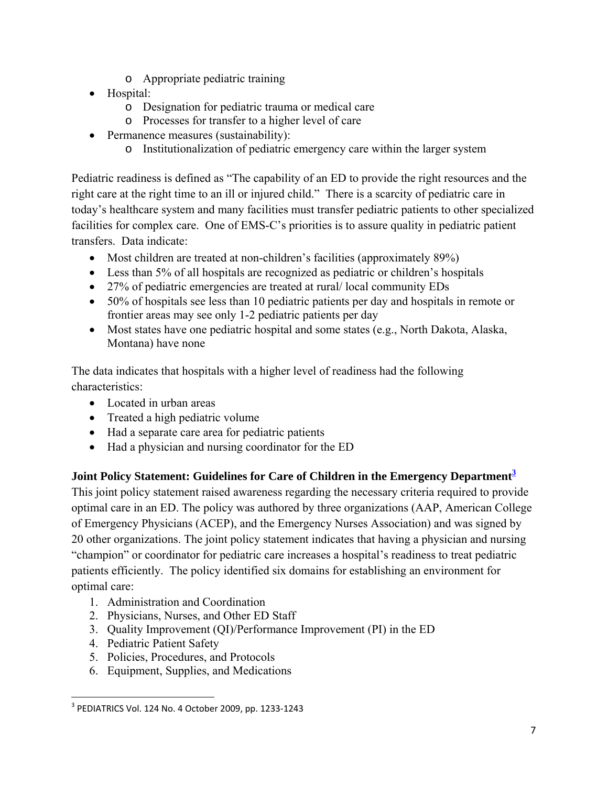- o Appropriate pediatric training
- Hospital:
	- o Designation for pediatric trauma or medical care
	- o Processes for transfer to a higher level of care
- Permanence measures (sustainability):
	- o Institutionalization of pediatric emergency care within the larger system

Pediatric readiness is defined as "The capability of an ED to provide the right resources and the right care at the right time to an ill or injured child." There is a scarcity of pediatric care in today's healthcare system and many facilities must transfer pediatric patients to other specialized facilities for complex care. One of EMS-C's priorities is to assure quality in pediatric patient transfers. Data indicate:

- Most children are treated at non-children's facilities (approximately 89%)
- Less than 5% of all hospitals are recognized as pediatric or children's hospitals
- 27% of pediatric emergencies are treated at rural/local community EDs
- 50% of hospitals see less than 10 pediatric patients per day and hospitals in remote or frontier areas may see only 1-2 pediatric patients per day
- Most states have one pediatric hospital and some states (e.g., North Dakota, Alaska, Montana) have none

The data indicates that hospitals with a higher level of readiness had the following characteristics:

- Located in urban areas
- Treated a high pediatric volume
- Had a separate care area for pediatric patients
- Had a physician and nursing coordinator for the ED

# **Joint Policy Statement: Guidelines for Care of Children in the Emergency Department<sup>3</sup>**

This joint policy statement raised awareness regarding the necessary criteria required to provide optimal care in an ED. The policy was authored by three organizations (AAP, American College of Emergency Physicians (ACEP), and the Emergency Nurses Association) and was signed by 20 other organizations. The joint policy statement indicates that having a physician and nursing "champion" or coordinator for pediatric care increases a hospital's readiness to treat pediatric patients efficiently. The policy identified six domains for establishing an environment for optimal care:

- 1. Administration and Coordination
- 2. Physicians, Nurses, and Other ED Staff
- 3. Quality Improvement (QI)/Performance Improvement (PI) in the ED
- 4. Pediatric Patient Safety

- 5. Policies, Procedures, and Protocols
- 6. Equipment, Supplies, and Medications

 $3$  PEDIATRICS Vol. 124 No. 4 October 2009, pp. 1233-1243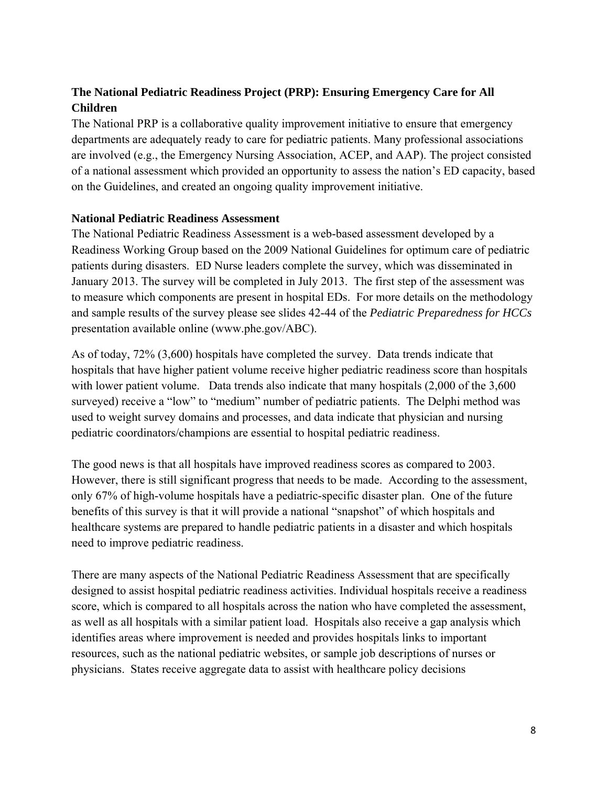# **The National Pediatric Readiness Project (PRP): Ensuring Emergency Care for All Children**

The National PRP is a collaborative quality improvement initiative to ensure that emergency departments are adequately ready to care for pediatric patients. Many professional associations are involved (e.g., the Emergency Nursing Association, ACEP, and AAP). The project consisted of a national assessment which provided an opportunity to assess the nation's ED capacity, based on the Guidelines, and created an ongoing quality improvement initiative.

#### **National Pediatric Readiness Assessment**

The National Pediatric Readiness Assessment is a web-based assessment developed by a Readiness Working Group based on the 2009 National Guidelines for optimum care of pediatric patients during disasters. ED Nurse leaders complete the survey, which was disseminated in January 2013. The survey will be completed in July 2013. The first step of the assessment was to measure which components are present in hospital EDs. For more details on the methodology and sample results of the survey please see slides 42-44 of the *Pediatric Preparedness for HCCs*  presentation available online (www.phe.gov/ABC).

As of today, 72% (3,600) hospitals have completed the survey. Data trends indicate that hospitals that have higher patient volume receive higher pediatric readiness score than hospitals with lower patient volume. Data trends also indicate that many hospitals  $(2,000)$  of the 3,600 surveyed) receive a "low" to "medium" number of pediatric patients. The Delphi method was used to weight survey domains and processes, and data indicate that physician and nursing pediatric coordinators/champions are essential to hospital pediatric readiness.

The good news is that all hospitals have improved readiness scores as compared to 2003. However, there is still significant progress that needs to be made. According to the assessment, only 67% of high-volume hospitals have a pediatric-specific disaster plan. One of the future benefits of this survey is that it will provide a national "snapshot" of which hospitals and healthcare systems are prepared to handle pediatric patients in a disaster and which hospitals need to improve pediatric readiness.

There are many aspects of the National Pediatric Readiness Assessment that are specifically designed to assist hospital pediatric readiness activities. Individual hospitals receive a readiness score, which is compared to all hospitals across the nation who have completed the assessment, as well as all hospitals with a similar patient load. Hospitals also receive a gap analysis which identifies areas where improvement is needed and provides hospitals links to important resources, such as the national pediatric websites, or sample job descriptions of nurses or physicians. States receive aggregate data to assist with healthcare policy decisions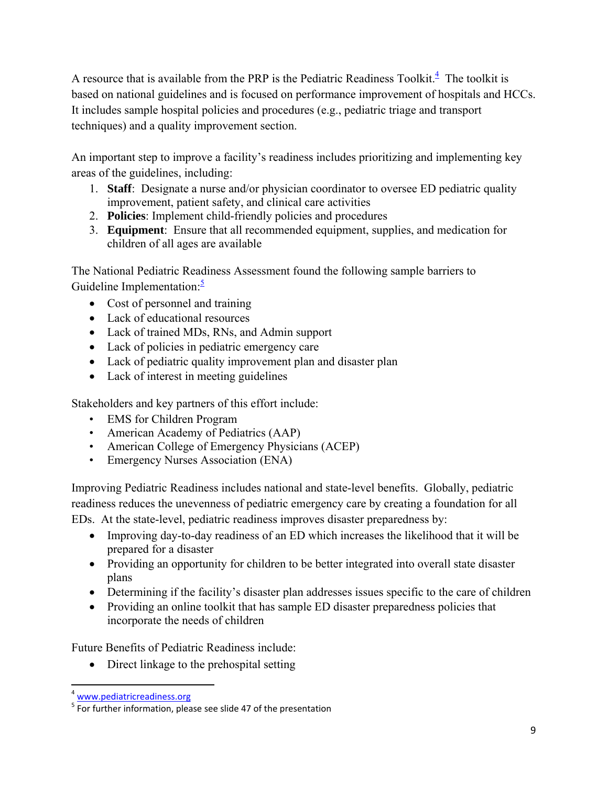A resource that is available from the PRP is the Pediatric Readiness Toolkit. $\frac{4}{1}$  The toolkit is based on national guidelines and is focused on performance improvement of hospitals and HCCs. It includes sample hospital policies and procedures (e.g., pediatric triage and transport techniques) and a quality improvement section.

An important step to improve a facility's readiness includes prioritizing and implementing key areas of the guidelines, including:

- 1. **Staff**: Designate a nurse and/or physician coordinator to oversee ED pediatric quality improvement, patient safety, and clinical care activities
- 2. **Policies**: Implement child-friendly policies and procedures
- 3. **Equipment**: Ensure that all recommended equipment, supplies, and medication for children of all ages are available

The National Pediatric Readiness Assessment found the following sample barriers to Guideline Implementation: $\frac{5}{3}$ 

- Cost of personnel and training
- Lack of educational resources
- Lack of trained MDs, RNs, and Admin support
- Lack of policies in pediatric emergency care
- Lack of pediatric quality improvement plan and disaster plan
- Lack of interest in meeting guidelines

Stakeholders and key partners of this effort include:

- EMS for Children Program
- American Academy of Pediatrics (AAP)
- American College of Emergency Physicians (ACEP)
- Emergency Nurses Association (ENA)

Improving Pediatric Readiness includes national and state-level benefits. Globally, pediatric readiness reduces the unevenness of pediatric emergency care by creating a foundation for all EDs. At the state-level, pediatric readiness improves disaster preparedness by:

- Improving day-to-day readiness of an ED which increases the likelihood that it will be prepared for a disaster
- Providing an opportunity for children to be better integrated into overall state disaster plans
- Determining if the facility's disaster plan addresses issues specific to the care of children
- Providing an online toolkit that has sample ED disaster preparedness policies that incorporate the needs of children

Future Benefits of Pediatric Readiness include:

• Direct linkage to the prehospital setting

 <sup>4</sup> www.pediatricreadiness.org

 $<sup>5</sup>$  For further information, please see slide 47 of the presentation</sup>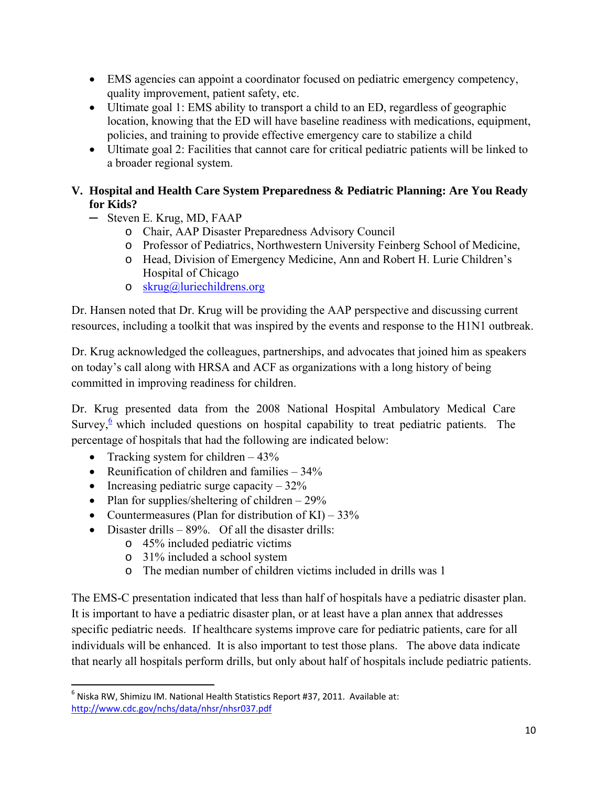- EMS agencies can appoint a coordinator focused on pediatric emergency competency, quality improvement, patient safety, etc.
- Ultimate goal 1: EMS ability to transport a child to an ED, regardless of geographic location, knowing that the ED will have baseline readiness with medications, equipment, policies, and training to provide effective emergency care to stabilize a child
- Ultimate goal 2: Facilities that cannot care for critical pediatric patients will be linked to a broader regional system.

### **V. Hospital and Health Care System Preparedness & Pediatric Planning: Are You Ready for Kids?**

- ─ Steven E. Krug, MD, FAAP
	- o Chair, AAP Disaster Preparedness Advisory Council
	- o Professor of Pediatrics, Northwestern University Feinberg School of Medicine,
	- o Head, Division of Emergency Medicine, Ann and Robert H. Lurie Children's Hospital of Chicago
	- o skrug@luriechildrens.org

Dr. Hansen noted that Dr. Krug will be providing the AAP perspective and discussing current resources, including a toolkit that was inspired by the events and response to the H1N1 outbreak.

Dr. Krug acknowledged the colleagues, partnerships, and advocates that joined him as speakers on today's call along with HRSA and ACF as organizations with a long history of being committed in improving readiness for children.

Dr. Krug presented data from the 2008 National Hospital Ambulatory Medical Care Survey, $6$  which included questions on hospital capability to treat pediatric patients. The percentage of hospitals that had the following are indicated below:

- Tracking system for children  $-43\%$
- Reunification of children and families  $-34\%$
- Increasing pediatric surge capacity  $-32\%$
- Plan for supplies/sheltering of children  $-29\%$
- Countermeasures (Plan for distribution of KI)  $33\%$
- $\bullet$  Disaster drills 89%. Of all the disaster drills:
	- o 45% included pediatric victims
	- o 31% included a school system
	- o The median number of children victims included in drills was 1

The EMS-C presentation indicated that less than half of hospitals have a pediatric disaster plan. It is important to have a pediatric disaster plan, or at least have a plan annex that addresses specific pediatric needs. If healthcare systems improve care for pediatric patients, care for all individuals will be enhanced. It is also important to test those plans. The above data indicate that nearly all hospitals perform drills, but only about half of hospitals include pediatric patients.

  $^6$  Niska RW, Shimizu IM. National Health Statistics Report #37, 2011. Available at: http://www.cdc.gov/nchs/data/nhsr/nhsr037.pdf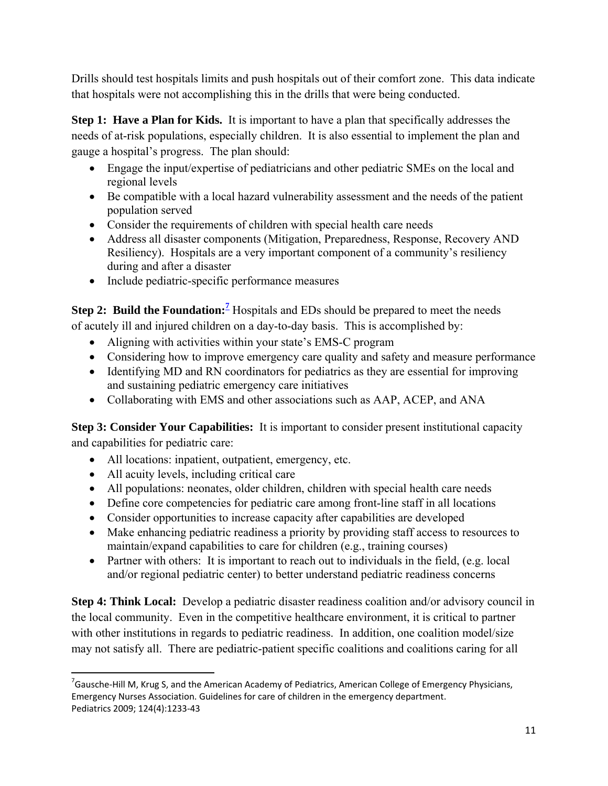Drills should test hospitals limits and push hospitals out of their comfort zone. This data indicate that hospitals were not accomplishing this in the drills that were being conducted.

**Step 1: Have a Plan for Kids.** It is important to have a plan that specifically addresses the needs of at-risk populations, especially children. It is also essential to implement the plan and gauge a hospital's progress. The plan should:

- Engage the input/expertise of pediatricians and other pediatric SMEs on the local and regional levels
- Be compatible with a local hazard vulnerability assessment and the needs of the patient population served
- Consider the requirements of children with special health care needs
- Address all disaster components (Mitigation, Preparedness, Response, Recovery AND Resiliency). Hospitals are a very important component of a community's resiliency during and after a disaster
- Include pediatric-specific performance measures

**Step 2: Build the Foundation:**<sup>7</sup> Hospitals and EDs should be prepared to meet the needs of acutely ill and injured children on a day-to-day basis. This is accomplished by:

- Aligning with activities within your state's EMS-C program
- Considering how to improve emergency care quality and safety and measure performance
- Identifying MD and RN coordinators for pediatrics as they are essential for improving and sustaining pediatric emergency care initiatives
- Collaborating with EMS and other associations such as AAP, ACEP, and ANA

**Step 3: Consider Your Capabilities:** It is important to consider present institutional capacity and capabilities for pediatric care:

- All locations: inpatient, outpatient, emergency, etc.
- All acuity levels, including critical care
- All populations: neonates, older children, children with special health care needs
- Define core competencies for pediatric care among front-line staff in all locations
- Consider opportunities to increase capacity after capabilities are developed
- Make enhancing pediatric readiness a priority by providing staff access to resources to maintain/expand capabilities to care for children (e.g., training courses)
- Partner with others: It is important to reach out to individuals in the field, (e.g. local and/or regional pediatric center) to better understand pediatric readiness concerns

**Step 4: Think Local:** Develop a pediatric disaster readiness coalition and/or advisory council in the local community. Even in the competitive healthcare environment, it is critical to partner with other institutions in regards to pediatric readiness. In addition, one coalition model/size may not satisfy all. There are pediatric-patient specific coalitions and coalitions caring for all

  $^7$ Gausche-Hill M, Krug S, and the American Academy of Pediatrics, American College of Emergency Physicians, Emergency Nurses Association. Guidelines for care of children in the emergency department. Pediatrics 2009; 124(4):1233‐43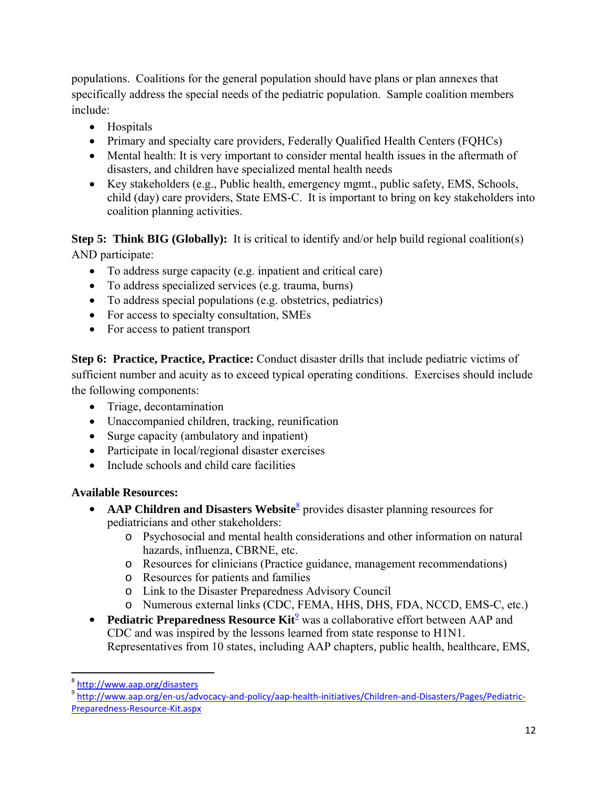populations. Coalitions for the general population should have plans or plan annexes that specifically address the special needs of the pediatric population. Sample coalition members include:

- Hospitals
- Primary and specialty care providers, Federally Qualified Health Centers (FQHCs)
- Mental health: It is very important to consider mental health issues in the aftermath of disasters, and children have specialized mental health needs
- Key stakeholders (e.g., Public health, emergency mgmt., public safety, EMS, Schools, child (day) care providers, State EMS-C. It is important to bring on key stakeholders into coalition planning activities.

**Step 5: Think BIG (Globally):** It is critical to identify and/or help build regional coalition(s) AND participate:

- To address surge capacity (e.g. inpatient and critical care)
- To address specialized services (e.g. trauma, burns)
- To address special populations (e.g. obstetrics, pediatrics)
- For access to specialty consultation, SMEs
- For access to patient transport

**Step 6: Practice, Practice, Practice:** Conduct disaster drills that include pediatric victims of sufficient number and acuity as to exceed typical operating conditions. Exercises should include the following components:

- Triage, decontamination
- Unaccompanied children, tracking, reunification
- Surge capacity (ambulatory and inpatient)
- Participate in local/regional disaster exercises
- Include schools and child care facilities

# **Available Resources:**

- **AAP Children and Disasters Website**<sup>8</sup> provides disaster planning resources for pediatricians and other stakeholders:
	- o Psychosocial and mental health considerations and other information on natural hazards, influenza, CBRNE, etc.
	- o Resources for clinicians (Practice guidance, management recommendations)
	- o Resources for patients and families
	- o Link to the Disaster Preparedness Advisory Council
	- o Numerous external links (CDC, FEMA, HHS, DHS, FDA, NCCD, EMS-C, etc.)
- **Pediatric Preparedness Resource Kit**<sup>9</sup> was a collaborative effort between AAP and CDC and was inspired by the lessons learned from state response to H1N1. Representatives from 10 states, including AAP chapters, public health, healthcare, EMS,

<sup>&</sup>lt;sup>8</sup>http://www.aap.org/disasters

 Preparedness‐Resource‐Kit.aspx 9 http://www.aap.org/en-us/advocacy-and-policy/aap-health-initiatives/Children-and-Disasters/Pages/Pediatric-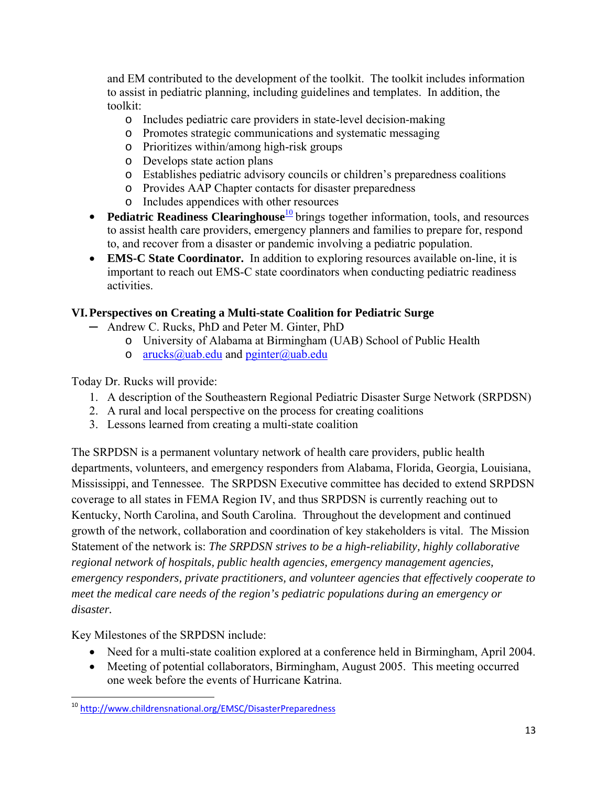and EM contributed to the development of the toolkit. The toolkit includes information to assist in pediatric planning, including guidelines and templates. In addition, the toolkit:

- o Includes pediatric care providers in state-level decision-making
- o Promotes strategic communications and systematic messaging
- o Prioritizes within/among high-risk groups
- o Develops state action plans
- o Establishes pediatric advisory councils or children's preparedness coalitions
- o Provides AAP Chapter contacts for disaster preparedness
- o Includes appendices with other resources
- **•** Pediatric Readiness Clearinghouse<sup>10</sup> brings together information, tools, and resources to assist health care providers, emergency planners and families to prepare for, respond to, and recover from a disaster or pandemic involving a pediatric population.
- **EMS-C State Coordinator.** In addition to exploring resources available on-line, it is important to reach out EMS-C state coordinators when conducting pediatric readiness activities.

# **VI. Perspectives on Creating a Multi-state Coalition for Pediatric Surge**

- ─ Andrew C. Rucks, PhD and Peter M. Ginter, PhD
	- o University of Alabama at Birmingham (UAB) School of Public Health
	- o arucks@uab.edu and pginter@uab.edu

Today Dr. Rucks will provide:

- 1. A description of the Southeastern Regional Pediatric Disaster Surge Network (SRPDSN)
- 2. A rural and local perspective on the process for creating coalitions
- 3. Lessons learned from creating a multi-state coalition

The SRPDSN is a permanent voluntary network of health care providers, public health departments, volunteers, and emergency responders from Alabama, Florida, Georgia, Louisiana, Mississippi, and Tennessee. The SRPDSN Executive committee has decided to extend SRPDSN coverage to all states in FEMA Region IV, and thus SRPDSN is currently reaching out to Kentucky, North Carolina, and South Carolina. Throughout the development and continued growth of the network, collaboration and coordination of key stakeholders is vital. The Mission Statement of the network is: *The SRPDSN strives to be a high-reliability, highly collaborative regional network of hospitals, public health agencies, emergency management agencies, emergency responders, private practitioners, and volunteer agencies that effectively cooperate to meet the medical care needs of the region's pediatric populations during an emergency or disaster.* 

Key Milestones of the SRPDSN include:

- Need for a multi-state coalition explored at a conference held in Birmingham, April 2004.
- Meeting of potential collaborators, Birmingham, August 2005. This meeting occurred one week before the events of Hurricane Katrina.

 <sup>10</sup> http://www.childrensnational.org/EMSC/DisasterPreparedness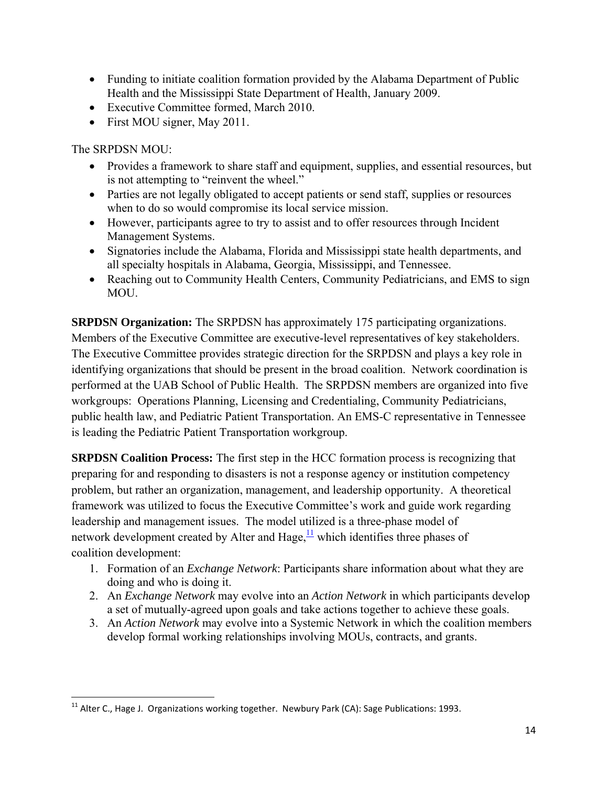- Funding to initiate coalition formation provided by the Alabama Department of Public Health and the Mississippi State Department of Health, January 2009.
- Executive Committee formed, March 2010.
- First MOU signer, May 2011.

The SRPDSN MOU:

- Provides a framework to share staff and equipment, supplies, and essential resources, but is not attempting to "reinvent the wheel."
- Parties are not legally obligated to accept patients or send staff, supplies or resources when to do so would compromise its local service mission.
- However, participants agree to try to assist and to offer resources through Incident Management Systems.
- Signatories include the Alabama, Florida and Mississippi state health departments, and all specialty hospitals in Alabama, Georgia, Mississippi, and Tennessee.
- Reaching out to Community Health Centers, Community Pediatricians, and EMS to sign MOU.

**SRPDSN Organization:** The SRPDSN has approximately 175 participating organizations. Members of the Executive Committee are executive-level representatives of key stakeholders. The Executive Committee provides strategic direction for the SRPDSN and plays a key role in identifying organizations that should be present in the broad coalition. Network coordination is performed at the UAB School of Public Health. The SRPDSN members are organized into five workgroups: Operations Planning, Licensing and Credentialing, Community Pediatricians, public health law, and Pediatric Patient Transportation. An EMS-C representative in Tennessee is leading the Pediatric Patient Transportation workgroup.

**SRPDSN Coalition Process:** The first step in the HCC formation process is recognizing that preparing for and responding to disasters is not a response agency or institution competency problem, but rather an organization, management, and leadership opportunity. A theoretical framework was utilized to focus the Executive Committee's work and guide work regarding leadership and management issues. The model utilized is a three-phase model of network development created by Alter and Hage,  $\frac{11}{12}$  which identifies three phases of coalition development:

- 1. Formation of an *Exchange Network*: Participants share information about what they are doing and who is doing it.
- 2. An *Exchange Network* may evolve into an *Action Network* in which participants develop a set of mutually-agreed upon goals and take actions together to achieve these goals.
- 3. An *Action Network* may evolve into a Systemic Network in which the coalition members develop formal working relationships involving MOUs, contracts, and grants.

 $^{11}$  Alter C., Hage J. Organizations working together. Newbury Park (CA): Sage Publications: 1993.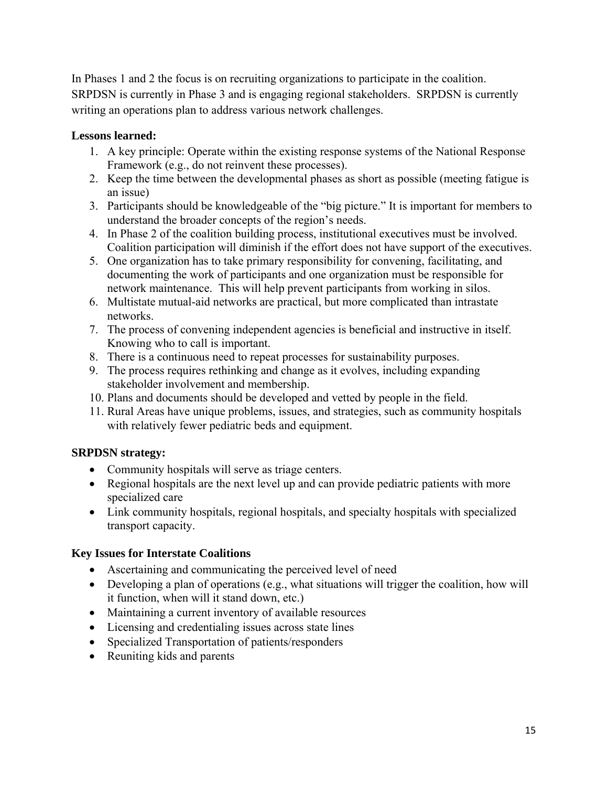In Phases 1 and 2 the focus is on recruiting organizations to participate in the coalition. SRPDSN is currently in Phase 3 and is engaging regional stakeholders. SRPDSN is currently writing an operations plan to address various network challenges.

#### **Lessons learned:**

- 1. A key principle: Operate within the existing response systems of the National Response Framework (e.g., do not reinvent these processes).
- 2. Keep the time between the developmental phases as short as possible (meeting fatigue is an issue)
- 3. Participants should be knowledgeable of the "big picture." It is important for members to understand the broader concepts of the region's needs.
- 4. In Phase 2 of the coalition building process, institutional executives must be involved. Coalition participation will diminish if the effort does not have support of the executives.
- 5. One organization has to take primary responsibility for convening, facilitating, and documenting the work of participants and one organization must be responsible for network maintenance. This will help prevent participants from working in silos.
- 6. Multistate mutual-aid networks are practical, but more complicated than intrastate networks.
- 7. The process of convening independent agencies is beneficial and instructive in itself. Knowing who to call is important.
- 8. There is a continuous need to repeat processes for sustainability purposes.
- 9. The process requires rethinking and change as it evolves, including expanding stakeholder involvement and membership.
- 10. Plans and documents should be developed and vetted by people in the field.
- 11. Rural Areas have unique problems, issues, and strategies, such as community hospitals with relatively fewer pediatric beds and equipment.

# **SRPDSN strategy:**

- Community hospitals will serve as triage centers.
- Regional hospitals are the next level up and can provide pediatric patients with more specialized care
- Link community hospitals, regional hospitals, and specialty hospitals with specialized transport capacity.

# **Key Issues for Interstate Coalitions**

- Ascertaining and communicating the perceived level of need
- Developing a plan of operations (e.g., what situations will trigger the coalition, how will it function, when will it stand down, etc.)
- Maintaining a current inventory of available resources
- Licensing and credentialing issues across state lines
- Specialized Transportation of patients/responders
- Reuniting kids and parents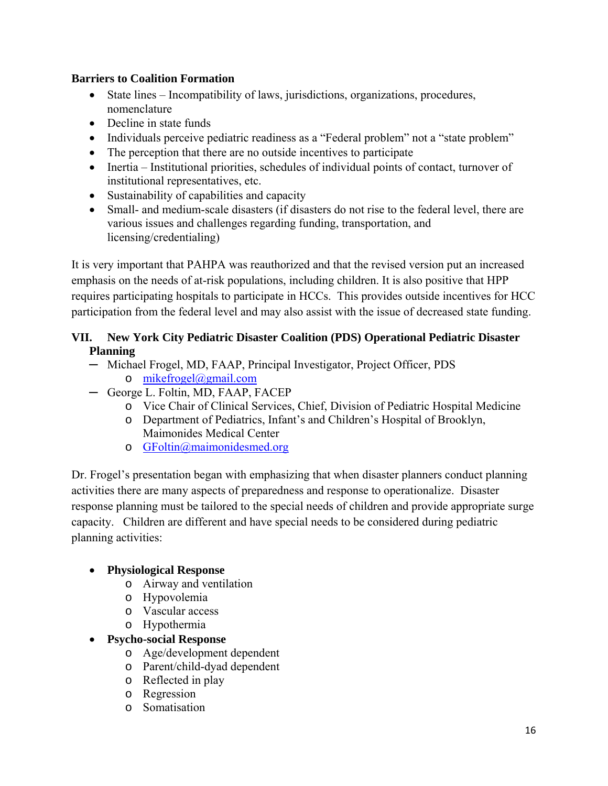#### **Barriers to Coalition Formation**

- State lines Incompatibility of laws, jurisdictions, organizations, procedures, nomenclature
- Decline in state funds
- Individuals perceive pediatric readiness as a "Federal problem" not a "state problem"
- The perception that there are no outside incentives to participate
- Inertia Institutional priorities, schedules of individual points of contact, turnover of institutional representatives, etc.
- Sustainability of capabilities and capacity
- Small- and medium-scale disasters (if disasters do not rise to the federal level, there are various issues and challenges regarding funding, transportation, and licensing/credentialing)

It is very important that PAHPA was reauthorized and that the revised version put an increased emphasis on the needs of at-risk populations, including children. It is also positive that HPP requires participating hospitals to participate in HCCs. This provides outside incentives for HCC participation from the federal level and may also assist with the issue of decreased state funding.

# **VII. New York City Pediatric Disaster Coalition (PDS) Operational Pediatric Disaster Planning**

- o mikefrogel@gmail.com ─ Michael Frogel, MD, FAAP, Principal Investigator, Project Officer, PDS
- ─ George L. Foltin, MD, FAAP, FACEP
	- o Vice Chair of Clinical Services, Chief, Division of Pediatric Hospital Medicine
	- o Department of Pediatrics, Infant's and Children's Hospital of Brooklyn, Maimonides Medical Center
	- o GFoltin@maimonidesmed.org

Dr. Frogel's presentation began with emphasizing that when disaster planners conduct planning activities there are many aspects of preparedness and response to operationalize. Disaster response planning must be tailored to the special needs of children and provide appropriate surge capacity. Children are different and have special needs to be considered during pediatric planning activities:

# **Physiological Response**

- o Airway and ventilation
- o Hypovolemia
- o Vascular access
- o Hypothermia
- **Psycho-social Response**
	- o Age/development dependent
	- o Parent/child-dyad dependent
	- o Reflected in play
	- o Regression
	- o Somatisation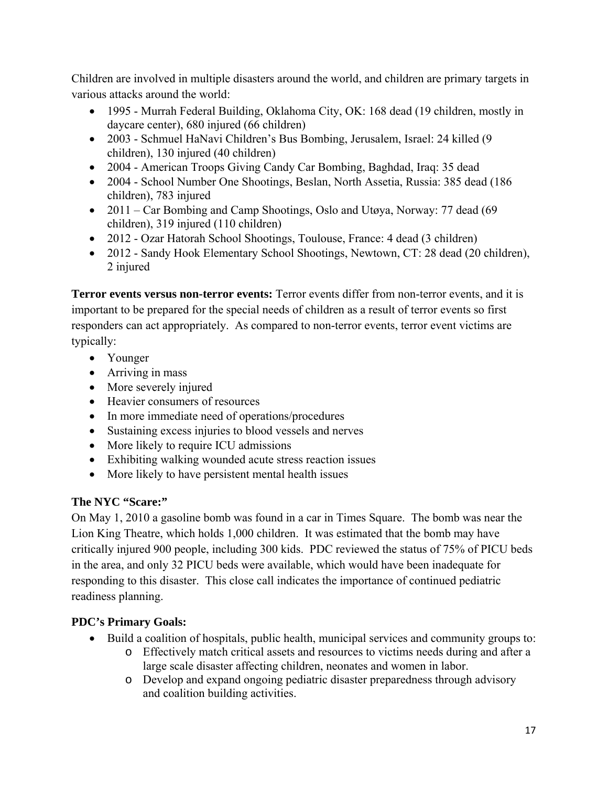Children are involved in multiple disasters around the world, and children are primary targets in various attacks around the world:

- 1995 Murrah Federal Building, Oklahoma City, OK: 168 dead (19 children, mostly in daycare center), 680 injured (66 children)
- 2003 Schmuel HaNavi Children's Bus Bombing, Jerusalem, Israel: 24 killed (9 children), 130 injured (40 children)
- 2004 American Troops Giving Candy Car Bombing, Baghdad, Iraq: 35 dead
- 2004 School Number One Shootings, Beslan, North Assetia, Russia: 385 dead (186) children), 783 injured
- 2011 Car Bombing and Camp Shootings, Oslo and Utøya, Norway: 77 dead (69) children), 319 injured (110 children)
- 2012 Ozar Hatorah School Shootings, Toulouse, France: 4 dead (3 children)
- 2012 Sandy Hook Elementary School Shootings, Newtown, CT: 28 dead (20 children), 2 injured

**Terror events versus non-terror events:** Terror events differ from non-terror events, and it is important to be prepared for the special needs of children as a result of terror events so first responders can act appropriately. As compared to non-terror events, terror event victims are typically:

- Younger
- Arriving in mass
- More severely injured
- Heavier consumers of resources
- In more immediate need of operations/procedures
- Sustaining excess injuries to blood vessels and nerves
- More likely to require ICU admissions
- Exhibiting walking wounded acute stress reaction issues
- More likely to have persistent mental health issues

# **The NYC "Scare:"**

On May 1, 2010 a gasoline bomb was found in a car in Times Square. The bomb was near the Lion King Theatre, which holds 1,000 children. It was estimated that the bomb may have critically injured 900 people, including 300 kids. PDC reviewed the status of 75% of PICU beds in the area, and only 32 PICU beds were available, which would have been inadequate for responding to this disaster. This close call indicates the importance of continued pediatric readiness planning.

# **PDC's Primary Goals:**

- Build a coalition of hospitals, public health, municipal services and community groups to:
	- o Effectively match critical assets and resources to victims needs during and after a large scale disaster affecting children, neonates and women in labor.
	- o Develop and expand ongoing pediatric disaster preparedness through advisory and coalition building activities.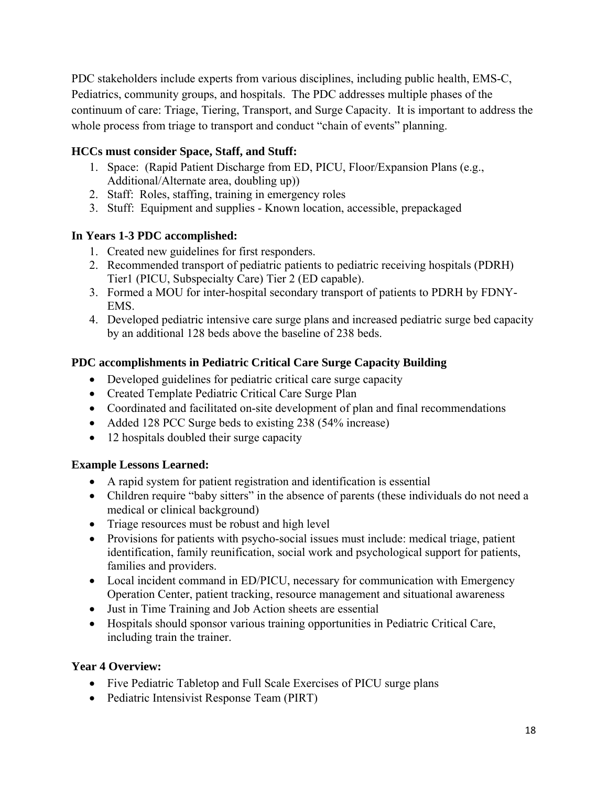PDC stakeholders include experts from various disciplines, including public health, EMS-C, Pediatrics, community groups, and hospitals. The PDC addresses multiple phases of the continuum of care: Triage, Tiering, Transport, and Surge Capacity. It is important to address the whole process from triage to transport and conduct "chain of events" planning.

# **HCCs must consider Space, Staff, and Stuff:**

- 1. Space: (Rapid Patient Discharge from ED, PICU, Floor/Expansion Plans (e.g., Additional/Alternate area, doubling up))
- 2. Staff: Roles, staffing, training in emergency roles
- 3. Stuff: Equipment and supplies Known location, accessible, prepackaged

#### **In Years 1-3 PDC accomplished:**

- 1. Created new guidelines for first responders.
- 2. Recommended transport of pediatric patients to pediatric receiving hospitals (PDRH) Tier1 (PICU, Subspecialty Care) Tier 2 (ED capable).
- 3. Formed a MOU for inter-hospital secondary transport of patients to PDRH by FDNY-EMS.
- 4. Developed pediatric intensive care surge plans and increased pediatric surge bed capacity by an additional 128 beds above the baseline of 238 beds.

# **PDC accomplishments in Pediatric Critical Care Surge Capacity Building**

- Developed guidelines for pediatric critical care surge capacity
- Created Template Pediatric Critical Care Surge Plan
- Coordinated and facilitated on-site development of plan and final recommendations
- Added 128 PCC Surge beds to existing 238 (54% increase)
- 12 hospitals doubled their surge capacity

#### **Example Lessons Learned:**

- A rapid system for patient registration and identification is essential
- Children require "baby sitters" in the absence of parents (these individuals do not need a medical or clinical background)
- Triage resources must be robust and high level
- Provisions for patients with psycho-social issues must include: medical triage, patient identification, family reunification, social work and psychological support for patients, families and providers.
- Local incident command in ED/PICU, necessary for communication with Emergency Operation Center, patient tracking, resource management and situational awareness
- Just in Time Training and Job Action sheets are essential
- Hospitals should sponsor various training opportunities in Pediatric Critical Care, including train the trainer.

# **Year 4 Overview:**

- Five Pediatric Tabletop and Full Scale Exercises of PICU surge plans
- Pediatric Intensivist Response Team (PIRT)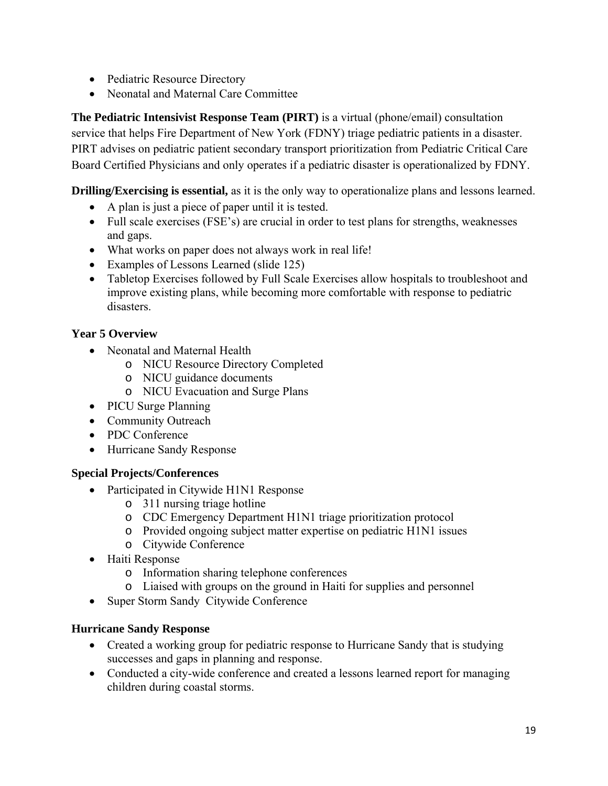- Pediatric Resource Directory
- Neonatal and Maternal Care Committee

**The Pediatric Intensivist Response Team (PIRT)** is a virtual (phone/email) consultation service that helps Fire Department of New York (FDNY) triage pediatric patients in a disaster. PIRT advises on pediatric patient secondary transport prioritization from Pediatric Critical Care Board Certified Physicians and only operates if a pediatric disaster is operationalized by FDNY.

**Drilling/Exercising is essential,** as it is the only way to operationalize plans and lessons learned.

- A plan is just a piece of paper until it is tested.
- Full scale exercises (FSE's) are crucial in order to test plans for strengths, weaknesses and gaps.
- What works on paper does not always work in real life!
- Examples of Lessons Learned (slide 125)
- Tabletop Exercises followed by Full Scale Exercises allow hospitals to troubleshoot and improve existing plans, while becoming more comfortable with response to pediatric disasters.

# **Year 5 Overview**

- Neonatal and Maternal Health
	- o NICU Resource Directory Completed
	- o NICU guidance documents
	- o NICU Evacuation and Surge Plans
- PICU Surge Planning
- Community Outreach
- PDC Conference
- Hurricane Sandy Response

# **Special Projects/Conferences**

- Participated in Citywide H1N1 Response
	- o 311 nursing triage hotline
	- o CDC Emergency Department H1N1 triage prioritization protocol
	- o Provided ongoing subject matter expertise on pediatric H1N1 issues
	- o Citywide Conference
- Haiti Response
	- o Information sharing telephone conferences
	- o Liaised with groups on the ground in Haiti for supplies and personnel
- Super Storm Sandy Citywide Conference

# **Hurricane Sandy Response**

- Created a working group for pediatric response to Hurricane Sandy that is studying successes and gaps in planning and response.
- Conducted a city-wide conference and created a lessons learned report for managing children during coastal storms.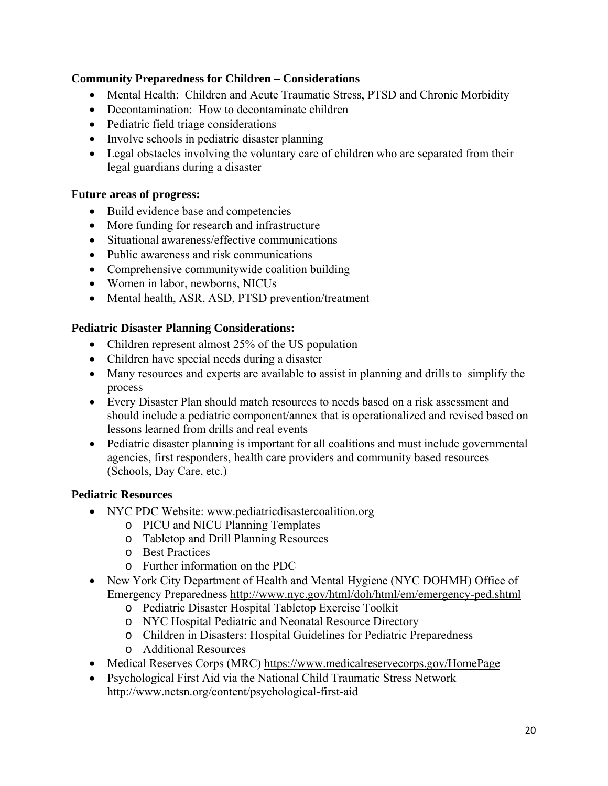#### **Community Preparedness for Children – Considerations**

- Mental Health: Children and Acute Traumatic Stress, PTSD and Chronic Morbidity
- Decontamination: How to decontaminate children
- Pediatric field triage considerations
- Involve schools in pediatric disaster planning
- Legal obstacles involving the voluntary care of children who are separated from their legal guardians during a disaster

#### **Future areas of progress:**

- Build evidence base and competencies
- More funding for research and infrastructure
- Situational awareness/effective communications
- Public awareness and risk communications
- Comprehensive communitywide coalition building
- Women in labor, newborns, NICUs
- Mental health, ASR, ASD, PTSD prevention/treatment

#### **Pediatric Disaster Planning Considerations:**

- Children represent almost 25% of the US population
- Children have special needs during a disaster
- Many resources and experts are available to assist in planning and drills to simplify the process
- Every Disaster Plan should match resources to needs based on a risk assessment and should include a pediatric component/annex that is operationalized and revised based on lessons learned from drills and real events
- Pediatric disaster planning is important for all coalitions and must include governmental agencies, first responders, health care providers and community based resources (Schools, Day Care, etc.)

# **Pediatric Resources**

- NYC PDC Website: www.pediatricdisastercoalition.org
	- o PICU and NICU Planning Templates
	- o Tabletop and Drill Planning Resources
	- o Best Practices
	- o Further information on the PDC
- New York City Department of Health and Mental Hygiene (NYC DOHMH) Office of Emergency Preparedness http://www.nyc.gov/html/doh/html/em/emergency-ped.shtml
	- o Pediatric Disaster Hospital Tabletop Exercise Toolkit
	- o NYC Hospital Pediatric and Neonatal Resource Directory
	- o Children in Disasters: Hospital Guidelines for Pediatric Preparedness
	- o Additional Resources
- Medical Reserves Corps (MRC) https://www.medicalreservecorps.gov/HomePage
- Psychological First Aid via the National Child Traumatic Stress Network http://www.nctsn.org/content/psychological-first-aid